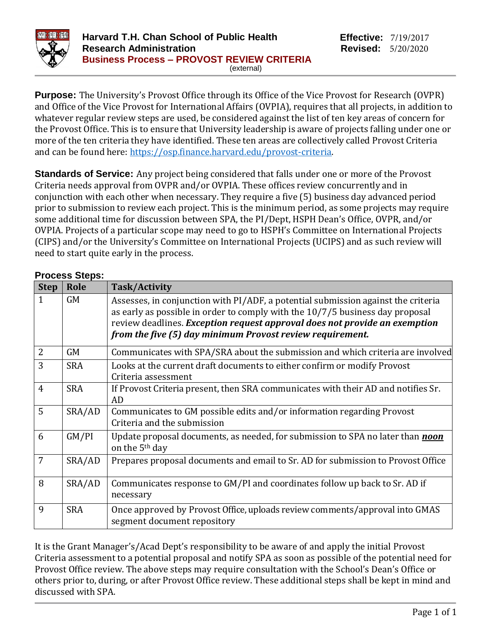

**Purpose:** The University's Provost Office through its Office of the Vice Provost for Research (OVPR) and Office of the Vice Provost for International Affairs (OVPIA), requires that all projects, in addition to whatever regular review steps are used, be considered against the list of ten key areas of concern for the Provost Office. This is to ensure that University leadership is aware of projects falling under one or more of the ten criteria they have identified. These ten areas are collectively called Provost Criteria and can be found here: [https://osp.finance.harvard.edu/provost-criteria.](https://osp.finance.harvard.edu/provost-criteria)

**Standards of Service:** Any project being considered that falls under one or more of the Provost Criteria needs approval from OVPR and/or OVPIA. These offices review concurrently and in conjunction with each other when necessary. They require a five (5) business day advanced period prior to submission to review each project. This is the minimum period, as some projects may require some additional time for discussion between SPA, the PI/Dept, HSPH Dean's Office, OVPR, and/or OVPIA. Projects of a particular scope may need to go to HSPH's Committee on International Projects (CIPS) and/or the University's Committee on International Projects (UCIPS) and as such review will need to start quite early in the process.

| <b>Step</b>    | Role       | Task/Activity                                                                                                                                                                                                                                                                                                   |
|----------------|------------|-----------------------------------------------------------------------------------------------------------------------------------------------------------------------------------------------------------------------------------------------------------------------------------------------------------------|
| $\mathbf{1}$   | <b>GM</b>  | Assesses, in conjunction with PI/ADF, a potential submission against the criteria<br>as early as possible in order to comply with the $10/7/5$ business day proposal<br>review deadlines. Exception request approval does not provide an exemption<br>from the five (5) day minimum Provost review requirement. |
| 2              | <b>GM</b>  | Communicates with SPA/SRA about the submission and which criteria are involved                                                                                                                                                                                                                                  |
| 3              | <b>SRA</b> | Looks at the current draft documents to either confirm or modify Provost<br>Criteria assessment                                                                                                                                                                                                                 |
| $\overline{4}$ | <b>SRA</b> | If Provost Criteria present, then SRA communicates with their AD and notifies Sr.<br>AD                                                                                                                                                                                                                         |
| 5              | SRA/AD     | Communicates to GM possible edits and/or information regarding Provost<br>Criteria and the submission                                                                                                                                                                                                           |
| 6              | GM/PI      | Update proposal documents, as needed, for submission to SPA no later than <i>noon</i><br>on the 5 <sup>th</sup> day                                                                                                                                                                                             |
| 7              | SRA/AD     | Prepares proposal documents and email to Sr. AD for submission to Provost Office                                                                                                                                                                                                                                |
| 8              | SRA/AD     | Communicates response to GM/PI and coordinates follow up back to Sr. AD if<br>necessary                                                                                                                                                                                                                         |
| 9              | <b>SRA</b> | Once approved by Provost Office, uploads review comments/approval into GMAS<br>segment document repository                                                                                                                                                                                                      |

It is the Grant Manager's/Acad Dept's responsibility to be aware of and apply the initial Provost Criteria assessment to a potential proposal and notify SPA as soon as possible of the potential need for Provost Office review. The above steps may require consultation with the School's Dean's Office or others prior to, during, or after Provost Office review. These additional steps shall be kept in mind and discussed with SPA.